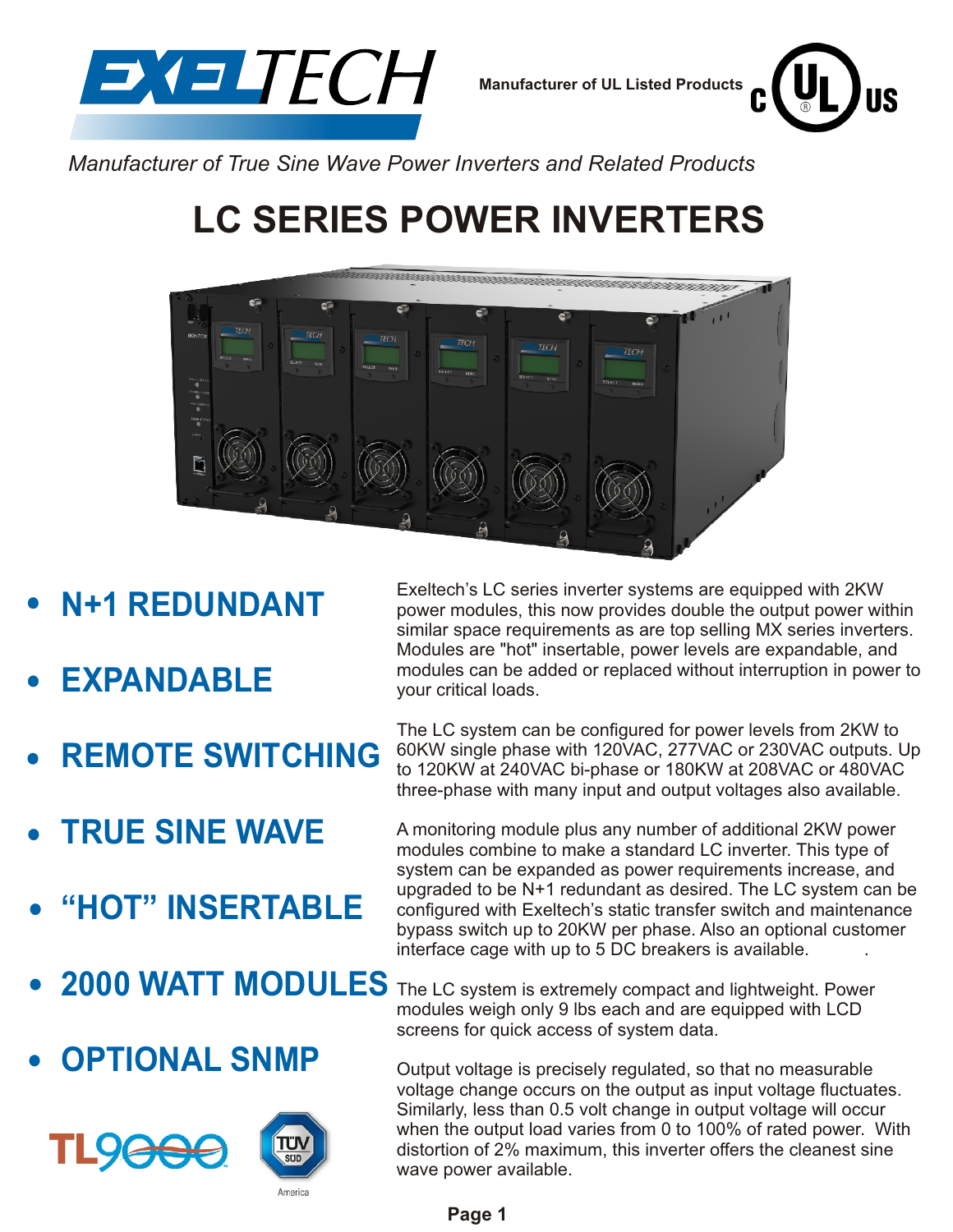

**Manufacturer of UL Listed Products**



*Manufacturer of True Sine Wave Power Inverters and Related Products*

# **LC SERIES POWER INVERTERS**



- **N+1 REDUNDANT**
- **EXPANDABLE**
- **REMOTE SWITCHING**
- **TRUE SINE WAVE**
- **"HOT" INSERTABLE**
- 
- **OPTIONAL SNMP**



Exeltech's LC series inverter systems are equipped with 2KW power modules, this now provides double the output power within similar space requirements as are top selling MX series inverters. Modules are "hot" insertable, power levels are expandable, and modules can be added or replaced without interruption in power to your critical loads.

The LC system can be configured for power levels from 2KW to 60KW single phase with 120VAC, 277VAC or 230VAC outputs. Up to 120KW at 240VAC bi-phase or 180KW at 208VAC or 480VAC three-phase with many input and output voltages also available.

A monitoring module plus any number of additional 2KW power modules combine to make a standard LC inverter. This type of system can be expanded as power requirements increase, and upgraded to be N+1 redundant as desired. The LC system can be configured with Exeltech's static transfer switch and maintenance bypass switch up to 20KW per phase. Also an optional customer interface cage with up to 5 DC breakers is available. .

**2000 WATT MODULES** The LC system is extremely compact and lightweight. Power modules weigh only 9 lbs each and are equipped with LCD screens for quick access of system data.

> Output voltage is precisely regulated, so that no measurable voltage change occurs on the output as input voltage fluctuates. Similarly, less than 0.5 volt change in output voltage will occur when the output load varies from 0 to 100% of rated power. With distortion of 2% maximum, this inverter offers the cleanest sine wave power available.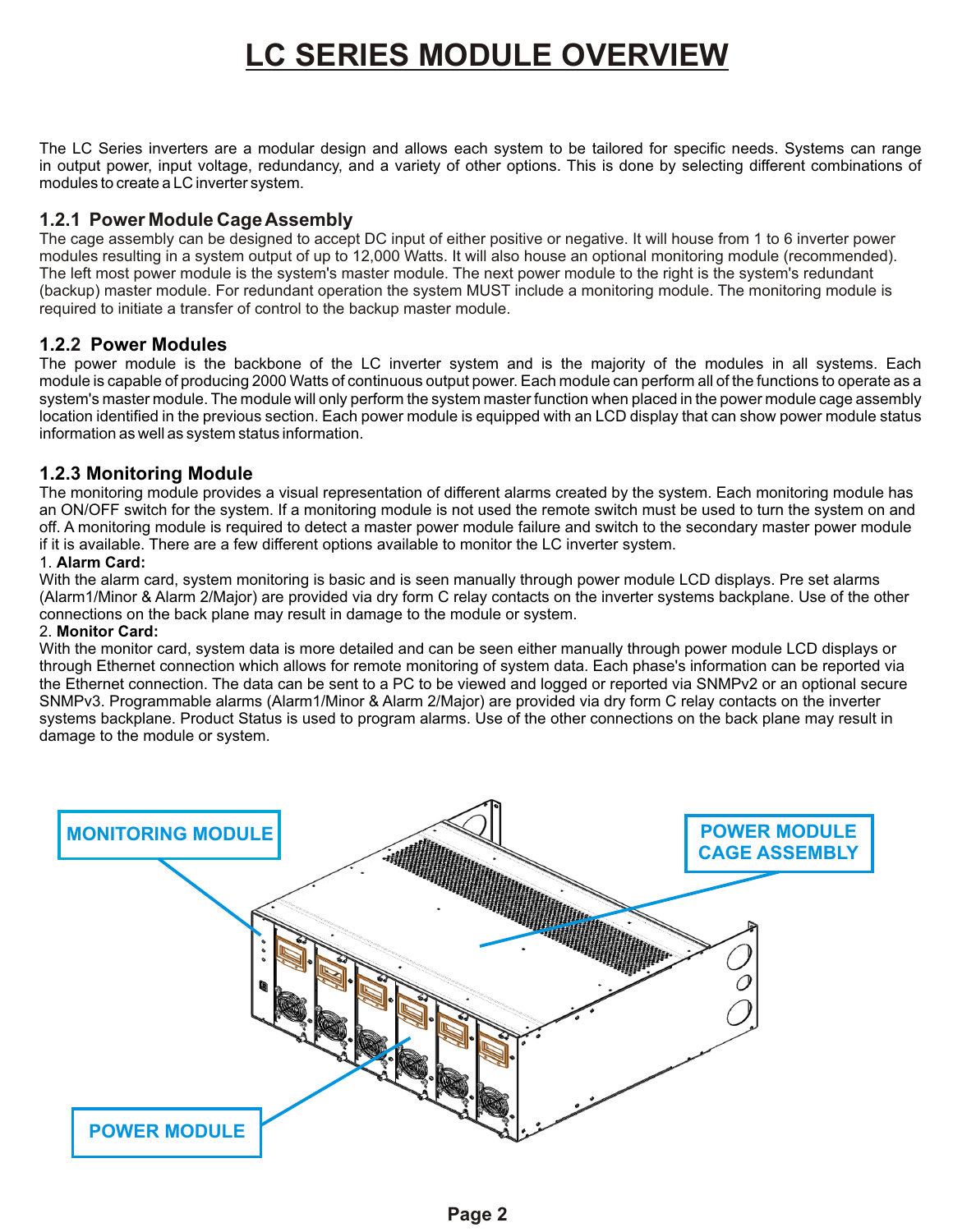## **LC SERIES MODULE OVERVIEW**

The LC Series inverters are a modular design and allows each system to be tailored for specific needs. Systems can range in output power, input voltage, redundancy, and a variety of other options. This is done by selecting different combinations of modules to create a LC inverter system.

## **1.2.1 Power Module Cage Assembly**

The cage assembly can be designed to accept DC input of either positive or negative. It will house from 1 to 6 inverter power modules resulting in a system output of up to 12,000 Watts. It will also house an optional monitoring module (recommended). The left most power module is the system's master module. The next power module to the right is the system's redundant (backup) master module. For redundant operation the system MUST include a monitoring module. The monitoring module is required to initiate a transfer of control to the backup master module.

## **1.2. Power Modules 2**

The power module is the backbone of the LC inverter system and is the majority of the modules in all systems. Each module is capable of producing 2000 Watts of continuous output power. Each module can perform all of the functions to operate as a system's master module. The module will only perform the system master function when placed in the power module cage assembly location identified in the previous section. Each power module is equipped with an LCD display that can show power module status information as well as system status information.

## **1.2.3 Monitoring Module**

The monitoring module provides a visual representation of different alarms created by the system. Each monitoring module has an ON/OFF switch for the system. If a monitoring module is not used the remote switch must be used to turn the system on and off. A monitoring module is required to detect a master power module failure and switch to the secondary master power module if it is available. There are a few different options available to monitor the LC inverter system.

### 1. **Alarm Card:**

With the alarm card, system monitoring is basic and is seen manually through power module LCD displays. Pre set alarms (Alarm1/Minor & Alarm 2/Major) are provided via dry form C relay contacts on the inverter systems backplane. Use of the other connections on the back plane may result in damage to the module or system.

### 2. **Monitor Card:**

With the monitor card, system data is more detailed and can be seen either manually through power module LCD displays or through Ethernet connection which allows for remote monitoring of system data. Each phase's information can be reported via the Ethernet connection. The data can be sent to a PC to be viewed and logged or reported via SNMPv2 or an optional secure SNMPv3. Programmable alarms (Alarm1/Minor & Alarm 2/Major) are provided via dry form C relay contacts on the inverter systems backplane. Product Status is used to program alarms. Use of the other connections on the back plane may result in damage to the module or system.

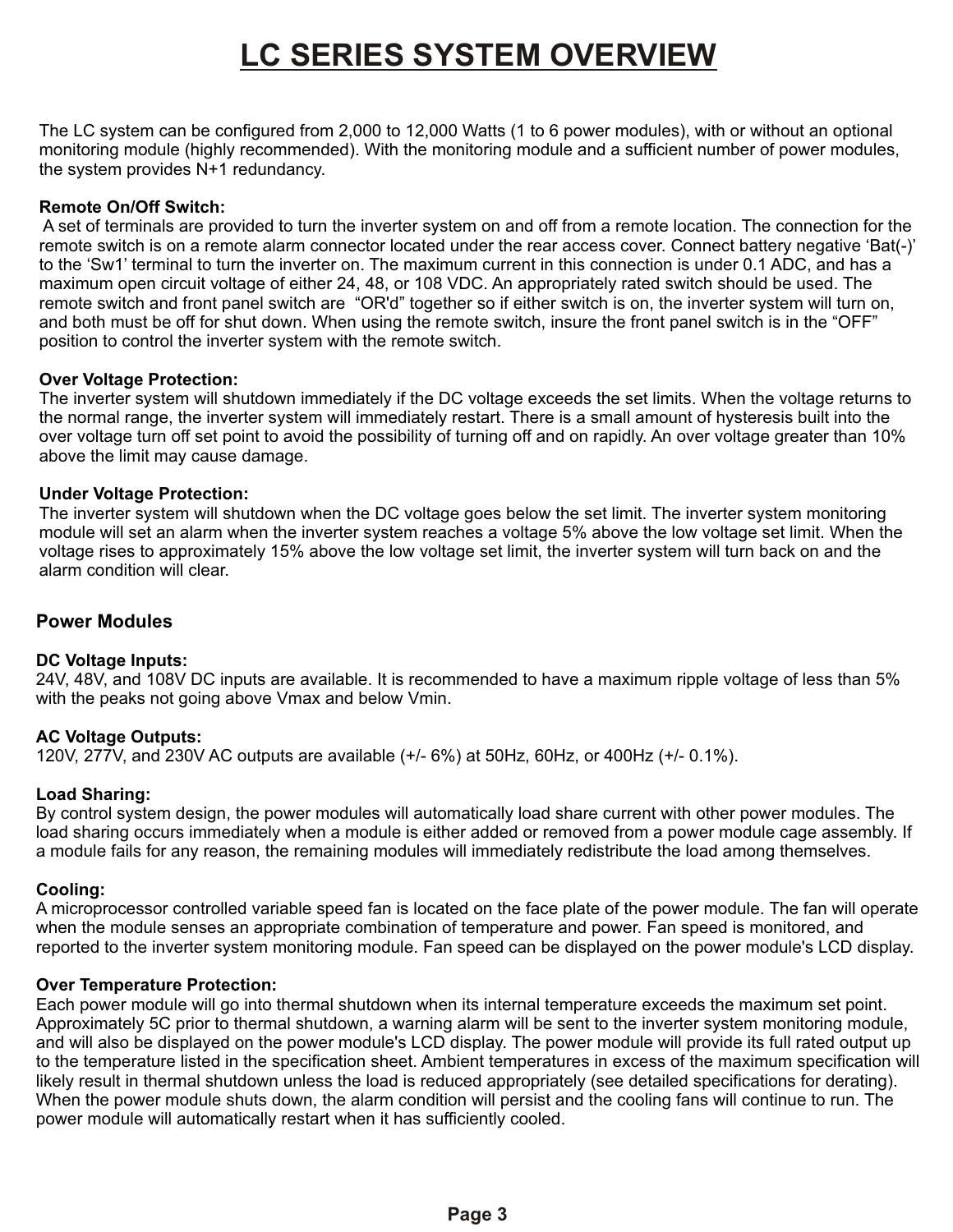# **LC SERIES SYSTEM OVERVIEW**

The LC system can be configured from 2,000 to 12,000 Watts (1 to 6 power modules), with or without an optional monitoring module (highly recommended). With the monitoring module and a sufficient number of power modules, the system provides N+1 redundancy.

### **Remote On/Off Switch:**

 . position to control the inverter system with the remote switch. A set of terminals are provided to turn the inverter system on and off from a remote location. The connection for the remote switch is on a remote alarm connector located under the rear access cover. Connect battery negative 'Bat(-)' to the 'Sw1' terminal to turn the inverter on. The maximum current in this connection is under 0.1 ADC, and has a maximum open circuit voltage of either 24, 48, or 108 VDC. An appropriately rated switch should be used. The remote switch and front panel switch are "OR'd" together so if either switch is on, the inverter system will turn on, and both must be off for shut down. When using the remote switch, insure the front panel switch is in the "OFF"

### **Over Voltage Protection:**

The inverter system will shutdown immediately if the DC voltage exceeds the set limits. When the voltage returns to the normal range, the inverter system will immediately restart. There is a small amount of hysteresis built into the over voltage turn off set point to avoid the possibility of turning off and on rapidly. An over voltage greater than 10% above the limit may cause damage.

### **Under Voltage Protection:**

The inverter system will shutdown when the DC voltage goes below the set limit. The inverter system monitoring module will set an alarm when the inverter system reaches a voltage 5% above the low voltage set limit. When the voltage rises to approximately 15% above the low voltage set limit, the inverter system will turn back on and the alarm condition will clear.

## **Power Modules**

## **DC Voltage Inputs:**

24V, 48V, and 108V DC inputs are available. It is recommended to have a maximum ripple voltage of less than 5% with the peaks not going above Vmax and below Vmin.

## **AC Voltage Outputs:**

120V, 277V, and 230V AC outputs are available (+/- 6%) at 50Hz, 60Hz, or 400Hz (+/- 0.1%).

### **Load Sharing:**

By control system design, the power modules will automatically load share current with other power modules. The load sharing occurs immediately when a module is either added or removed from a power module cage assembly. If a module fails for any reason, the remaining modules will immediately redistribute the load among themselves.

### **Cooling:**

A microprocessor controlled variable speed fan is located on the face plate of the power module. The fan will operate when the module senses an appropriate combination of temperature and power. Fan speed is monitored, and reported to the inverter system monitoring module. Fan speed can be displayed on the power module's LCD display.

### **Over Temperature Protection:**

Each power module will go into thermal shutdown when its internal temperature exceeds the maximum set point. Approximately 5C prior to thermal shutdown, a warning alarm will be sent to the inverter system monitoring module, and will also be displayed on the power module's LCD display. The power module will provide its full rated output up to the temperature listed in the specification sheet. Ambient temperatures in excess of the maximum specification will likely result in thermal shutdown unless the load is reduced appropriately (see detailed specifications for derating). When the power module shuts down, the alarm condition will persist and the cooling fans will continue to run. The power module will automatically restart when it has sufficiently cooled.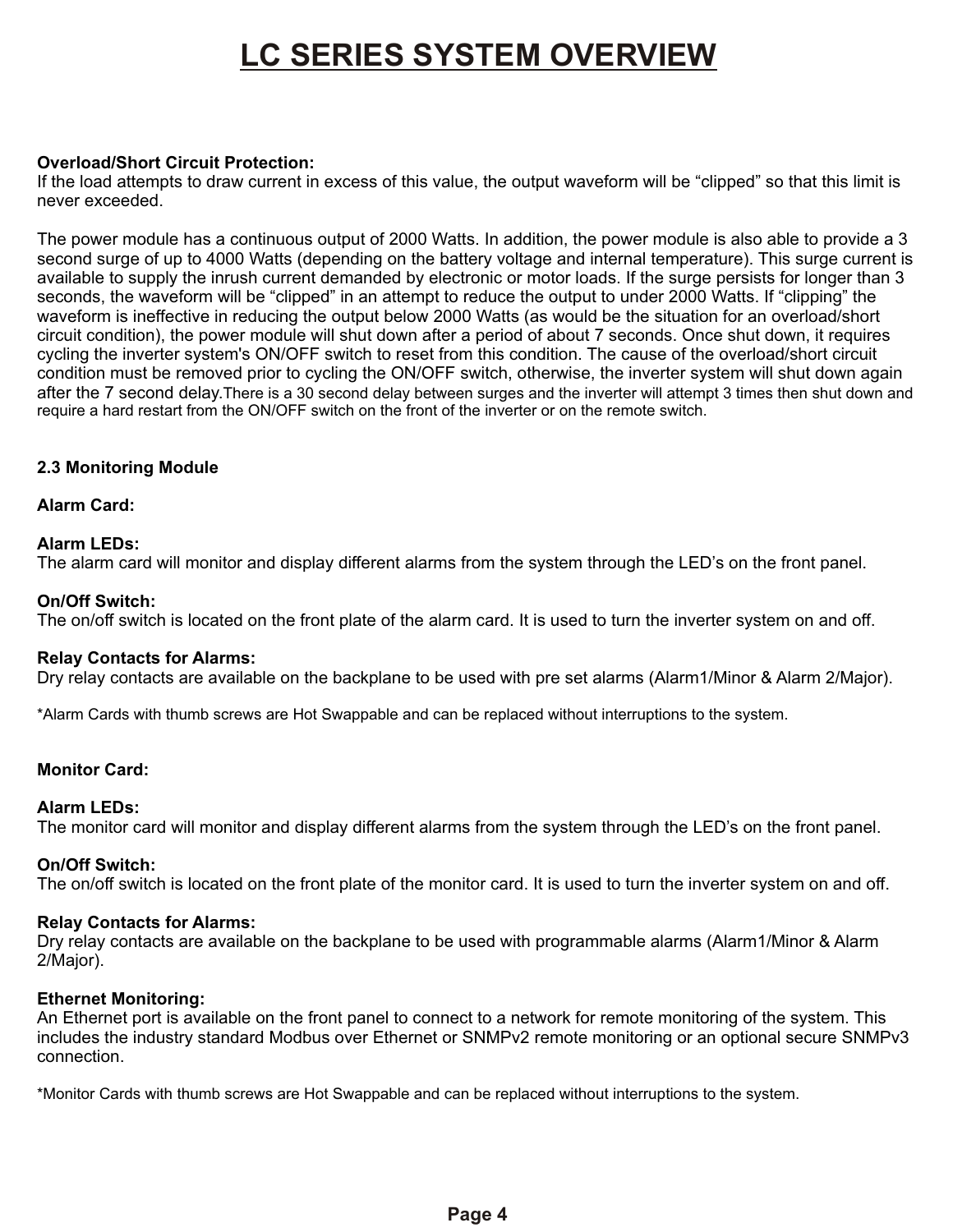## **LC SERIES SYSTEM OVERVIEW**

### **Overload/Short Circuit Protection:**

If the load attempts to draw current in excess of this value, the output waveform will be "clipped" so that this limit is never exceeded.

The power module has a continuous output of 2000 Watts. In addition, the power module is also able to provide a 3 second surge of up to 4000 Watts (depending on the battery voltage and internal temperature). This surge current is available to supply the inrush current demanded by electronic or motor loads. If the surge persists for longer than 3 seconds, the waveform will be "clipped" in an attempt to reduce the output to under 2000 Watts. If "clipping" the waveform is ineffective in reducing the output below 2000 Watts (as would be the situation for an overload/short circuit condition), the power module will shut down after a period of about 7 seconds. Once shut down, it requires cycling the inverter system's ON/OFF switch to reset from this condition. The cause of the overload/short circuit condition must be removed prior to cycling the ON/OFF switch, otherwise, the inverter system will shut down again after the 7 second delay.There is a 30 second delay between surges and the inverter will attempt 3 times then shut down and require a hard restart from the ON/OFF switch on the front of the inverter or on the remote switch.

### **2.3 Monitoring Module**

### **Alarm Card:**

### **Alarm LEDs:**

The alarm card will monitor and display different alarms from the system through the LED's on the front panel.

### **On/Off Switch:**

The on/off switch is located on the front plate of the alarm card. It is used to turn the inverter system on and off.

### **Relay Contacts for Alarms:**

Dry relay contacts are available on the backplane to be used with pre set alarms (Alarm1/Minor & Alarm 2/Major).

\*Alarm Cards with thumb screws are Hot Swappable and can be replaced without interruptions to the system.

### **Monitor Card:**

### **Alarm LEDs:**

The monitor card will monitor and display different alarms from the system through the LED's on the front panel.

### **On/Off Switch:**

The on/off switch is located on the front plate of the monitor card. It is used to turn the inverter system on and off.

### **Relay Contacts for Alarms:**

Dry relay contacts are available on the backplane to be used with programmable alarms (Alarm1/Minor & Alarm 2/Major).

### **Ethernet Monitoring:**

An Ethernet port is available on the front panel to connect to a network for remote monitoring of the system. This includes the industry standard Modbus over Ethernet or SNMPv2 remote monitoring or an optional secure SNMPv3 connection.

\*Monitor Cards with thumb screws are Hot Swappable and can be replaced without interruptions to the system.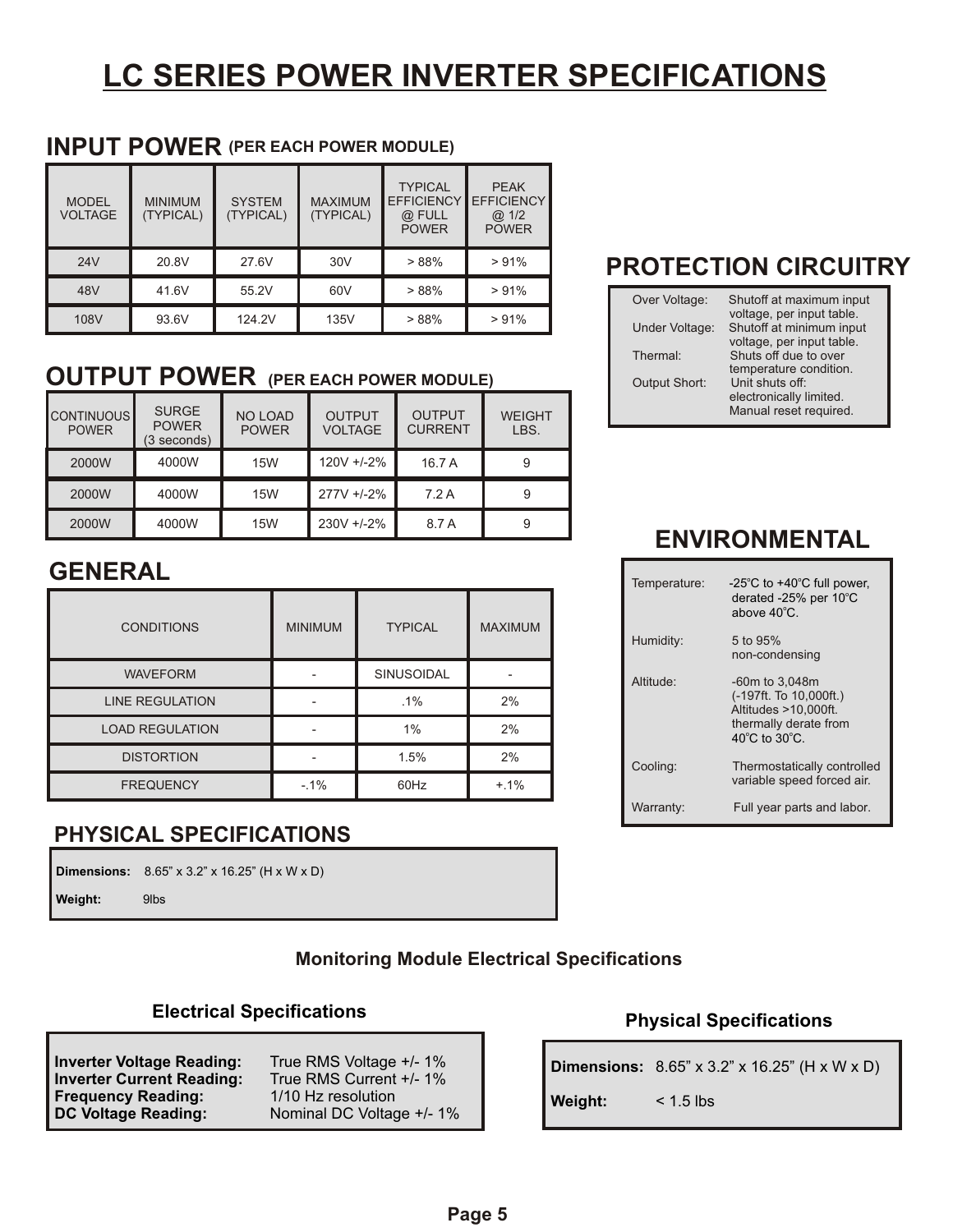# **LC SERIES POWER INVERTER SPECIFICATIONS**

## **INPUT POWER (PER EACH POWER MODULE)**

| <b>MODEL</b><br><b>VOLTAGE</b> | <b>MINIMUM</b><br>(TYPICAL) | <b>SYSTEM</b><br>(TYPICAL) | <b>MAXIMUM</b><br>(TYPICAL) | <b>TYPICAL</b><br><b>EFFICIENCY</b><br>@ FULL<br><b>POWER</b> | <b>PEAK</b><br><b>EFFICIENCY</b><br>@ 1/2<br><b>POWER</b> |
|--------------------------------|-----------------------------|----------------------------|-----------------------------|---------------------------------------------------------------|-----------------------------------------------------------|
| 24V                            | 20.8V                       | 27.6V                      | 30 <sub>V</sub>             | >88%                                                          | >91%                                                      |
| 48V                            | 41.6V                       | 55.2V                      | 60V                         | >88%                                                          | >91%                                                      |
| 108V                           | 93.6V                       | 124.2V                     | 135V                        | >88%                                                          | >91%                                                      |

## **OUTPUT POWER (PER EACH POWER MODULE)**

| <b>CONTINUOUS</b><br><b>POWER</b> | <b>SURGE</b><br><b>POWER</b><br>(3 seconds) | <b>NO LOAD</b><br><b>POWER</b> | <b>OUTPUT</b><br><b>VOLTAGE</b> | <b>OUTPUT</b><br><b>CURRENT</b> | <b>WEIGHT</b><br>LBS. |
|-----------------------------------|---------------------------------------------|--------------------------------|---------------------------------|---------------------------------|-----------------------|
| 2000W                             | 4000W                                       | <b>15W</b>                     | 120V +/-2%                      | 16.7 A                          | 9                     |
| 2000W                             | 4000W                                       | 15W                            | 277V +/-2%                      | 7.2A                            | 9                     |
| 2000W                             | 4000W                                       | <b>15W</b>                     | 230V +/-2%                      | 8.7 A                           | 9                     |

## **GENERAL**

| <b>CONDITIONS</b>      | <b>MINIMUM</b> | <b>TYPICAL</b>    | <b>MAXIMUM</b> |
|------------------------|----------------|-------------------|----------------|
| <b>WAVEFORM</b>        |                | <b>SINUSOIDAL</b> |                |
| <b>LINE REGULATION</b> |                | $.1\%$            | 2%             |
| <b>LOAD REGULATION</b> |                | 1%                | 2%             |
| <b>DISTORTION</b>      |                | 1.5%              | 2%             |
| <b>FREQUENCY</b>       | $-1%$          | 60Hz              | $+.1\%$        |

## **PHYSICAL SPECIFICATIONS**

|         | <b>Dimensions:</b> $8.65'' \times 3.2'' \times 16.25''$ (H x W x D) |
|---------|---------------------------------------------------------------------|
| Weight: | 9lbs                                                                |

## **Monitoring Module Electrical Specifications**

## **Electrical Specifications**

| <b>Inverter Voltage Reading:</b><br><b>Inverter Current Reading:</b> | True RMS Voltage +/- 1%<br>True RMS Current +/- 1% |
|----------------------------------------------------------------------|----------------------------------------------------|
| <b>Frequency Reading:</b>                                            | 1/10 Hz resolution                                 |
| <b>DC Voltage Reading:</b>                                           | Nominal DC Voltage +/- 1%                          |

## **PROTECTION CIRCUITRY**

| Over Voltage:        | Shutoff at maximum input                              |
|----------------------|-------------------------------------------------------|
| Under Voltage:       | voltage, per input table.<br>Shutoff at minimum input |
|                      | voltage, per input table.                             |
| Thermal:             | Shuts off due to over                                 |
|                      | temperature condition.                                |
| <b>Output Short:</b> | Unit shuts off:                                       |
|                      | electronically limited.                               |
|                      | Manual reset required.                                |

## **ENVIRONMENTAL**

| Temperature: | $-25^{\circ}$ C to $+40^{\circ}$ C full power,<br>derated -25% per 10°C<br>above $40^{\circ}$ C.                                   |
|--------------|------------------------------------------------------------------------------------------------------------------------------------|
| Humidity:    | 5 to 95%<br>non-condensing                                                                                                         |
| Altitude:    | $-60m$ to $3.048m$<br>(-197ft. To 10,000ft.)<br>Altitudes >10,000ft.<br>thermally derate from<br>$40^{\circ}$ C to $30^{\circ}$ C. |
| Cooling:     | Thermostatically controlled<br>variable speed forced air.                                                                          |
| Warranty:    | Full year parts and labor.                                                                                                         |

## **Physical Specifications**

|         | <b>Dimensions:</b> $8.65'' \times 3.2'' \times 16.25''$ (H x W x D) |
|---------|---------------------------------------------------------------------|
| Weight: | $< 1.5$ lbs                                                         |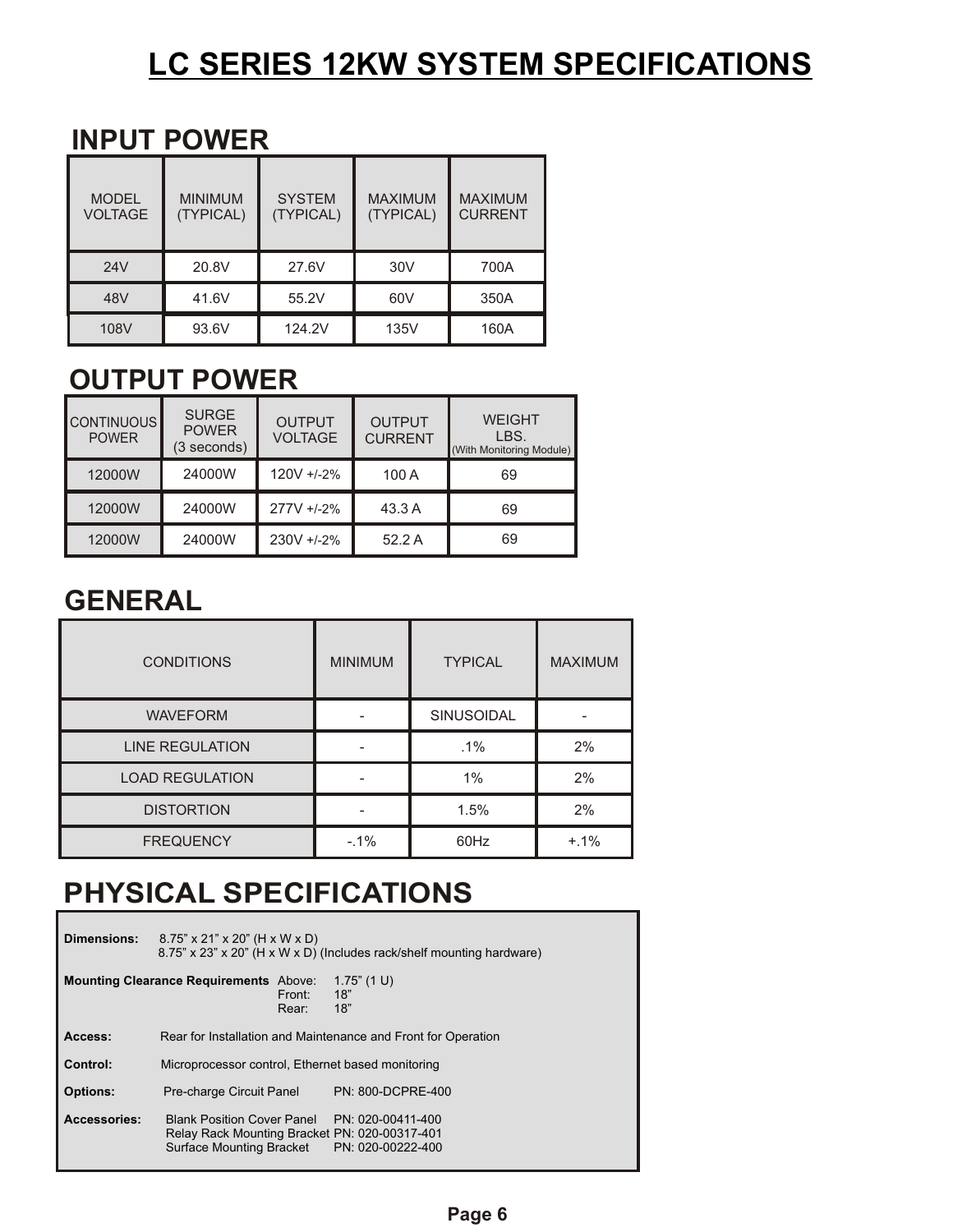# **LC SERIES 12KW SYSTEM SPECIFICATIONS**

## **INPUT POWER**

| <b>MODEL</b><br><b>VOLTAGE</b> | <b>MINIMUM</b><br>(TYPICAL) | <b>SYSTEM</b><br>(TYPICAL) | <b>MAXIMUM</b><br>(TYPICAL) | <b>MAXIMUM</b><br><b>CURRENT</b> |
|--------------------------------|-----------------------------|----------------------------|-----------------------------|----------------------------------|
| 24V                            | 20.8V                       | 27.6V                      | 30V                         | 700A                             |
| 48V                            | 41.6V                       | 55.2V                      | 60V                         | 350A                             |
| 108V                           | 93.6V                       | 124.2V                     | 135V                        | 160A                             |

## **OUTPUT POWER**

| <b>CONTINUOUS</b><br><b>POWER</b> | <b>SURGE</b><br><b>POWER</b><br>(3 seconds) | <b>OUTPUT</b><br><b>VOLTAGE</b> | <b>OUTPUT</b><br><b>CURRENT</b> | <b>WEIGHT</b><br>LBS.<br>(With Monitoring Module) |
|-----------------------------------|---------------------------------------------|---------------------------------|---------------------------------|---------------------------------------------------|
| 12000W                            | 24000W                                      | $120V + 2%$                     | 100A                            | 69                                                |
| 12000W                            | 24000W                                      | 277V +/-2%                      | 43.3 A                          | 69                                                |
| 12000W                            | 24000W                                      | 230V +/-2%                      | 52.2 A                          | 69                                                |

## **GENERAL**

| <b>CONDITIONS</b>      | <b>MINIMUM</b> | <b>TYPICAL</b>    | <b>MAXIMUM</b> |
|------------------------|----------------|-------------------|----------------|
| <b>WAVEFORM</b>        |                | <b>SINUSOIDAL</b> |                |
| <b>LINE REGULATION</b> |                | $.1\%$            | 2%             |
| <b>LOAD REGULATION</b> |                | $1\%$             | 2%             |
| <b>DISTORTION</b>      |                | 1.5%              | 2%             |
| <b>FREQUENCY</b>       | $-1\%$         | 60Hz              | $+.1\%$        |

## **PHYSICAL SPECIFICATIONS**

| <b>Dimensions:</b>  | $8.75$ " x 21" x 20" (H x W x D)                                                                                      | 8.75" x 23" x 20" (H x W x D) (Includes rack/shelf mounting hardware) |
|---------------------|-----------------------------------------------------------------------------------------------------------------------|-----------------------------------------------------------------------|
|                     | <b>Mounting Clearance Requirements</b> Above:<br>Front:<br>Rear:                                                      | $1.75$ " (1 U)<br>18"<br>18"                                          |
| Access:             |                                                                                                                       | Rear for Installation and Maintenance and Front for Operation         |
| Control:            | Microprocessor control, Ethernet based monitoring                                                                     |                                                                       |
| <b>Options:</b>     | Pre-charge Circuit Panel                                                                                              | PN: 800-DCPRE-400                                                     |
| <b>Accessories:</b> | <b>Blank Position Cover Panel</b><br>Relay Rack Mounting Bracket PN: 020-00317-401<br><b>Surface Mounting Bracket</b> | PN: 020-00411-400<br>PN: 020-00222-400                                |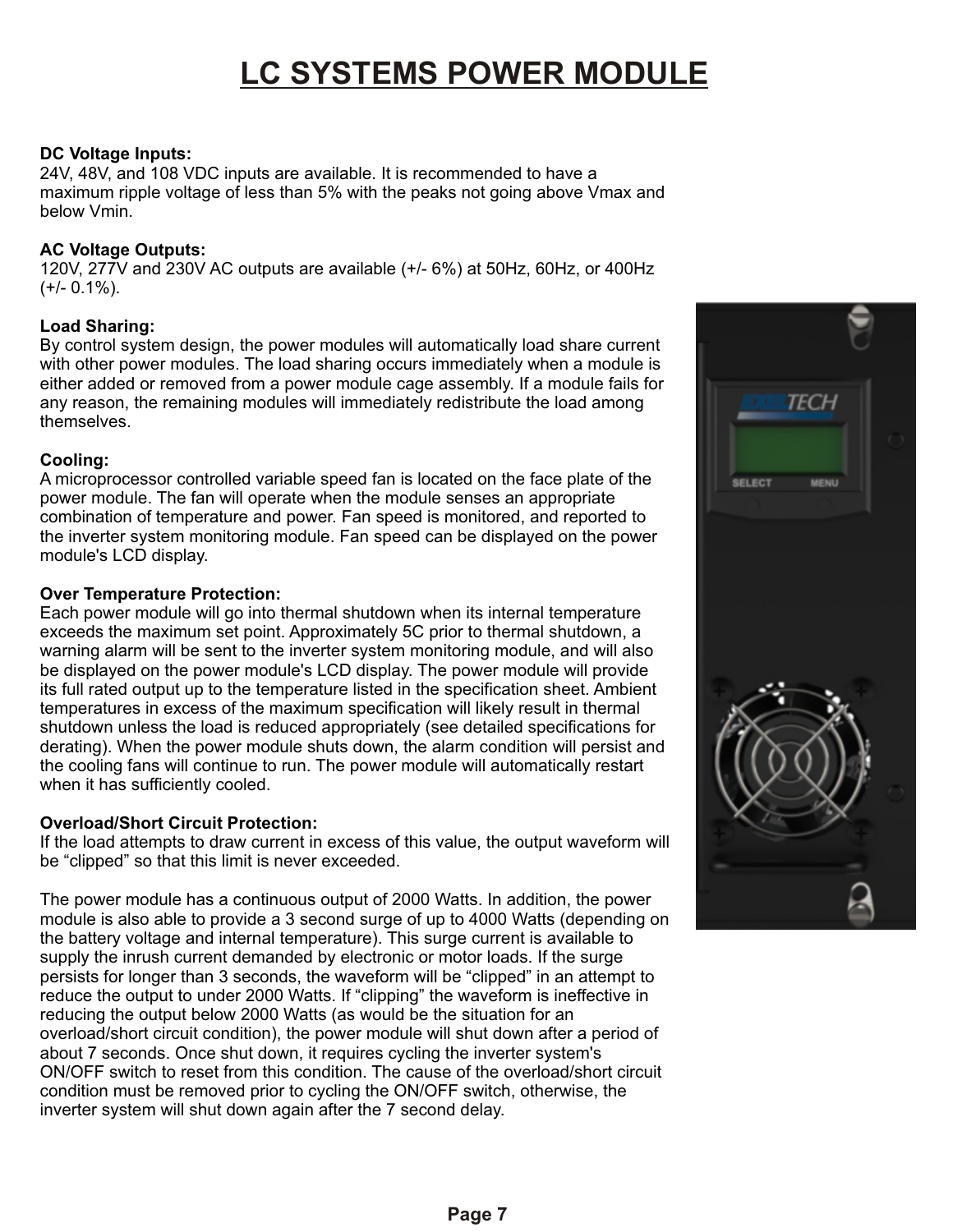# **LC SYSTEMS POWER MODULE**

## **DC Voltage Inputs:**

24V, 48V, and 108 VDC inputs are available. It is recommended to have a maximum ripple voltage of less than 5% with the peaks not going above Vmax and below Vmin.

## **AC Voltage Outputs:**

120V, 277V and 230V AC outputs are available (+/- 6%) at 50Hz, 60Hz, or 400Hz  $(+/- 0.1\%)$ .

## **Load Sharing:**

By control system design, the power modules will automatically load share current with other power modules. The load sharing occurs immediately when a module is either added or removed from a power module cage assembly. If a module fails for any reason, the remaining modules will immediately redistribute the load among themselves.

## **Cooling:**

A microprocessor controlled variable speed fan is located on the face plate of the power module. The fan will operate when the module senses an appropriate combination of temperature and power. Fan speed is monitored, and reported to the inverter system monitoring module. Fan speed can be displayed on the power module's LCD display.

## **Over Temperature Protection:**

Each power module will go into thermal shutdown when its internal temperature exceeds the maximum set point. Approximately 5C prior to thermal shutdown, a warning alarm will be sent to the inverter system monitoring module, and will also be displayed on the power module's LCD display. The power module will provide its full rated output up to the temperature listed in the specification sheet. Ambient temperatures in excess of the maximum specification will likely result in thermal shutdown unless the load is reduced appropriately (see detailed specifications for derating). When the power module shuts down, the alarm condition will persist and the cooling fans will continue to run. The power module will automatically restart when it has sufficiently cooled.

## **Overload/Short Circuit Protection:**

If the load attempts to draw current in excess of this value, the output waveform will be "clipped" so that this limit is never exceeded.

The power module has a continuous output of 2000 Watts. In addition, the power module is also able to provide a 3 second surge of up to 4000 Watts (depending on the battery voltage and internal temperature). This surge current is available to supply the inrush current demanded by electronic or motor loads. If the surge persists for longer than 3 seconds, the waveform will be "clipped" in an attempt to reduce the output to under 2000 Watts. If "clipping" the waveform is ineffective in reducing the output below 2000 Watts (as would be the situation for an overload/short circuit condition), the power module will shut down after a period of about 7 seconds. Once shut down, it requires cycling the inverter system's ON/OFF switch to reset from this condition. The cause of the overload/short circuit condition must be removed prior to cycling the ON/OFF switch, otherwise, the inverter system will shut down again after the 7 second delay.

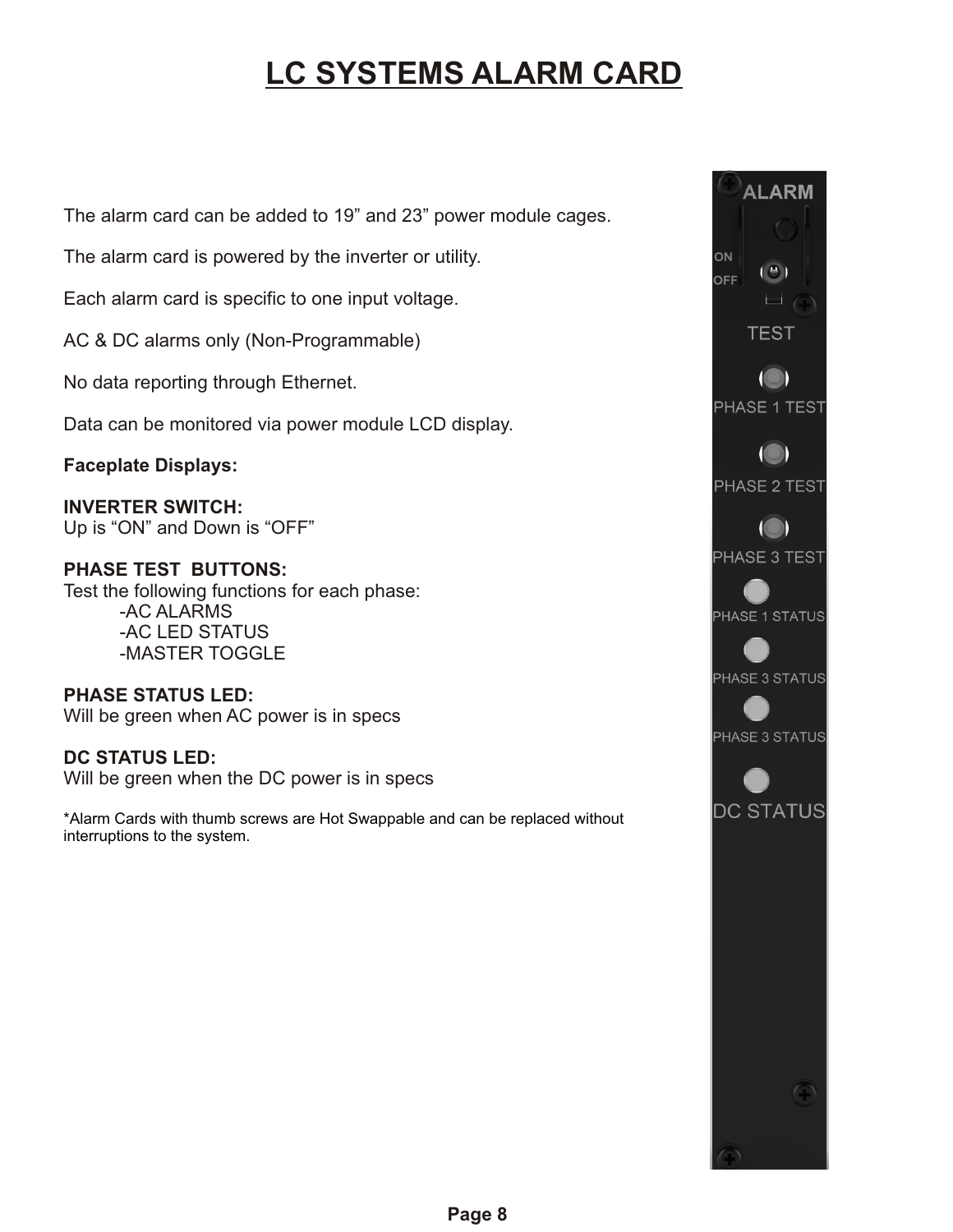# **LC SYSTEMS ALARM CARD**

The alarm card can be added to 19" and 23" power module cages.

The alarm card is powered by the inverter or utility.

Each alarm card is specific to one input voltage.

AC & DC alarms only (Non-Programmable)

No data reporting through Ethernet.

Data can be monitored via power module LCD display.

**Faceplate Displays:**

**INVERTER SWITCH:** Up is "ON" and Down is "OFF"

## **PHASE TEST BUTTONS:**

Test the following functions for each phase: -AC ALARMS -AC LED STATUS -MASTER TOGGLE

**PHASE STATUS LED:** Will be green when AC power is in specs

**DC STATUS LED:** Will be green when the DC power is in specs

\*Alarm Cards with thumb screws are Hot Swappable and can be replaced without interruptions to the system.

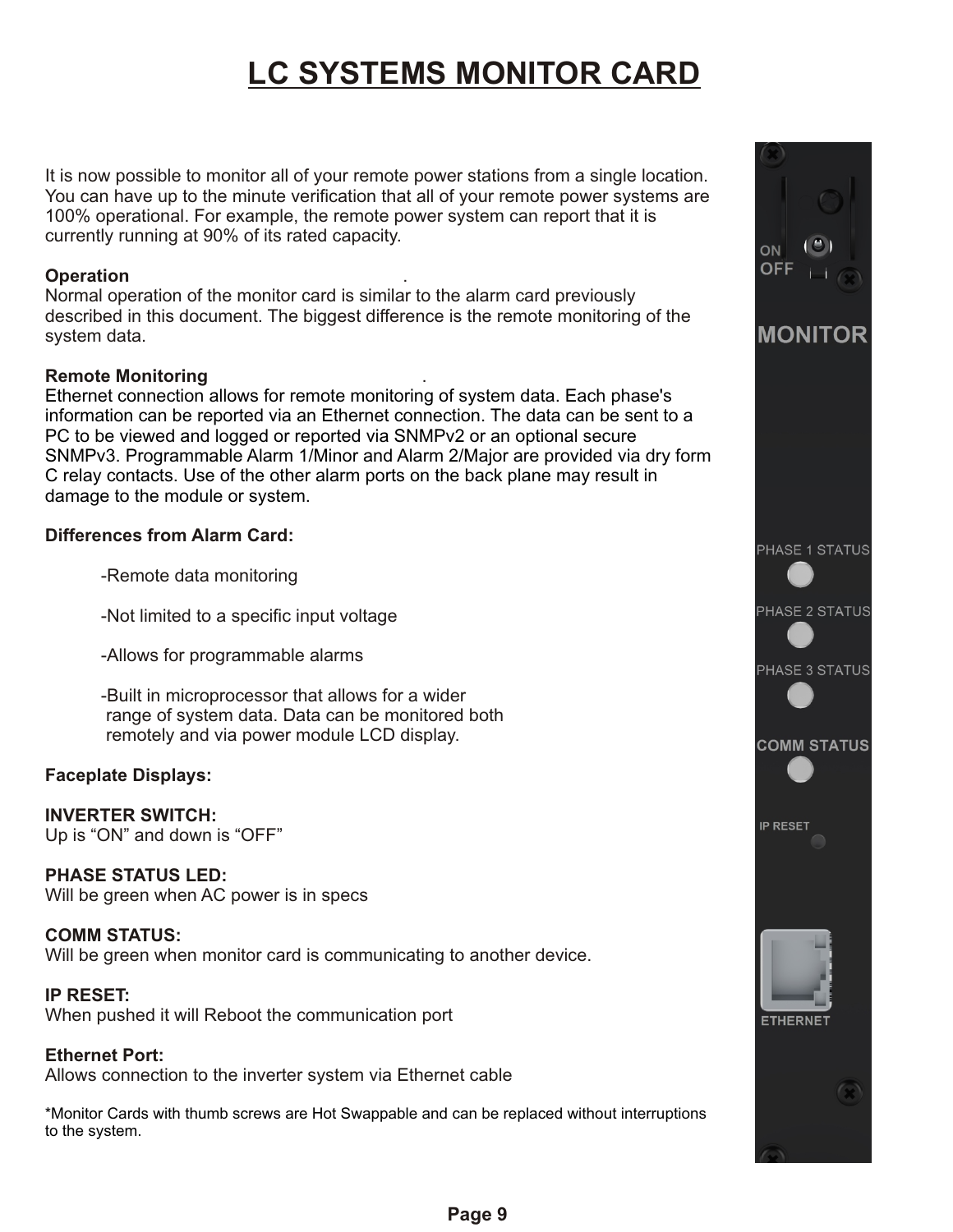# **LC SYSTEMS MONITOR CARD**

It is now possible to monitor all of your remote power stations from a single location. You can have up to the minute verification that all of your remote power systems are 100% operational. For example, the remote power system can report that it is currently running at 90% of its rated capacity.

## **Operation** .

Normal operation of the monitor card is similar to the alarm card previously described in this document. The biggest difference is the remote monitoring of the system data.

## **Remote Monitoring** .

Ethernet connection allows for remote monitoring of system data. Each phase's information can be reported via an Ethernet connection. The data can be sent to a PC to be viewed and logged or reported via SNMPv2 or an optional secure SNMPv3. Programmable Alarm 1/Minor and Alarm 2/Major are provided via dry form C relay contacts. Use of the other alarm ports on the back plane may result in damage to the module or system.

## **Differences from Alarm Card:**

-Remote data monitoring

-Not limited to a specific input voltage

-Allows for programmable alarms

-Built in microprocessor that allows for a wider range of system data. Data can be monitored both remotely and via power module LCD display.

## **Faceplate Displays:**

## **INVERTER SWITCH:**

Up is "ON" and down is "OFF"

## **PHASE STATUS LED:**

Will be green when AC power is in specs

## **COMM STATUS:**

Will be green when monitor card is communicating to another device.

## **IP RESET:**

When pushed it will Reboot the communication port

**Ethernet Port:** Allows connection to the inverter system via Ethernet cable

\*Monitor Cards with thumb screws are Hot Swappable and can be replaced without interruptions to the system.

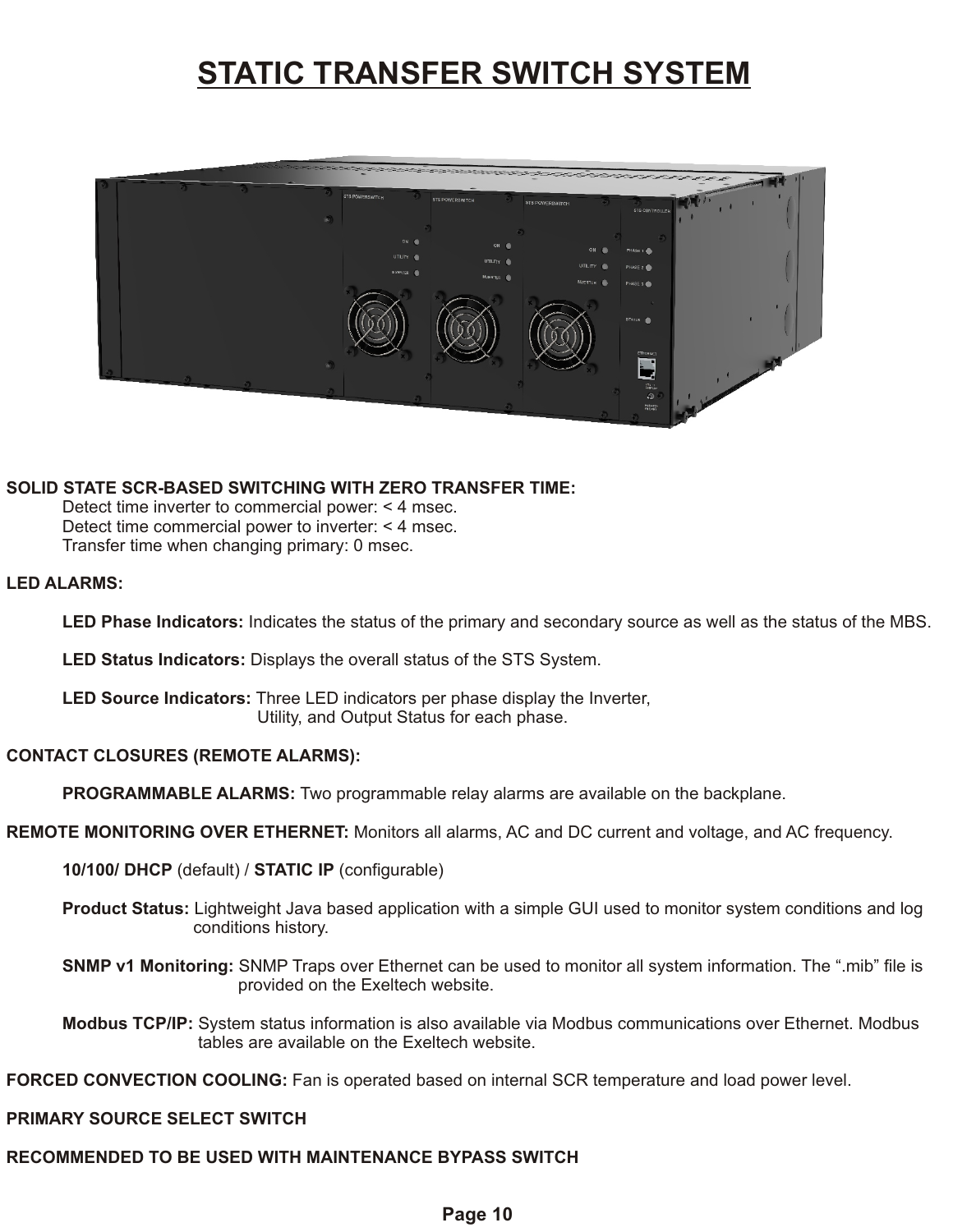## **STATIC TRANSFER SWITCH SYSTEM**



### **SOLID STATE SCR-BASED SWITCHING WITH ZERO TRANSFER TIME:**

Detect time inverter to commercial power: < 4 msec. Detect time commercial power to inverter: < 4 msec. Transfer time when changing primary: 0 msec.

### **LED ALARMS:**

**LED Phase Indicators:** Indicates the status of the primary and secondary source as well as the status of the MBS.

**LED Status Indicators:** Displays the overall status of the STS System.

**LED Source Indicators:** Three LED indicators per phase display the Inverter, Utility, and Output Status for each phase.

### **CONTACT CLOSURES (REMOTE ALARMS):**

**PROGRAMMABLE ALARMS:** Two programmable relay alarms are available on the backplane.

**REMOTE MONITORING OVER ETHERNET:** Monitors all alarms, AC and DC current and voltage, and AC frequency.

**10/100/ DHCP** (default) / **STATIC IP** (configurable)

**Product Status:** Lightweight Java based application with a simple GUI used to monitor system conditions and log conditions history.

**SNMP v1 Monitoring:** SNMP Traps over Ethernet can be used to monitor all system information. The ".mib" file is provided on the Exeltech website.

**Modbus TCP/IP:** System status information is also available via Modbus communications over Ethernet. Modbus tables are available on the Exeltech website.

**FORCED CONVECTION COOLING:** Fan is operated based on internal SCR temperature and load power level.

## **PRIMARY SOURCE SELECT SWITCH**

## **RECOMMENDED TO BE USED WITH MAINTENANCE BYPASS SWITCH**